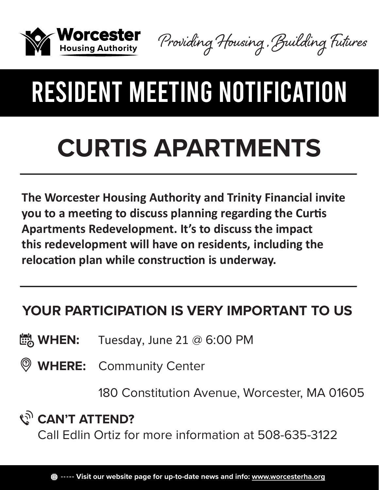

Providing Housing , Building Futures

# RESIDENT MEETING NOTIFICATION

# **CURTIS APARTMENTS**

**The Worcester Housing Authority and Trinity Financial invite you to a meeting to discuss planning regarding the Curtis Apartments Redevelopment. It's to discuss the impact this redevelopment will have on residents, including the relocation plan while construction is underway.**

### **YOUR PARTICIPATION IS VERY IMPORTANT TO US**

 $\frac{1}{200}$  **WHEN:** Tuesday, June 21 @ 6:00 PM

**WHERE:** Community Center

180 Constitution Avenue, Worcester, MA 01605

### **CAN'T ATTEND?**

Call Edlin Ortiz for more information at 508-635-3122